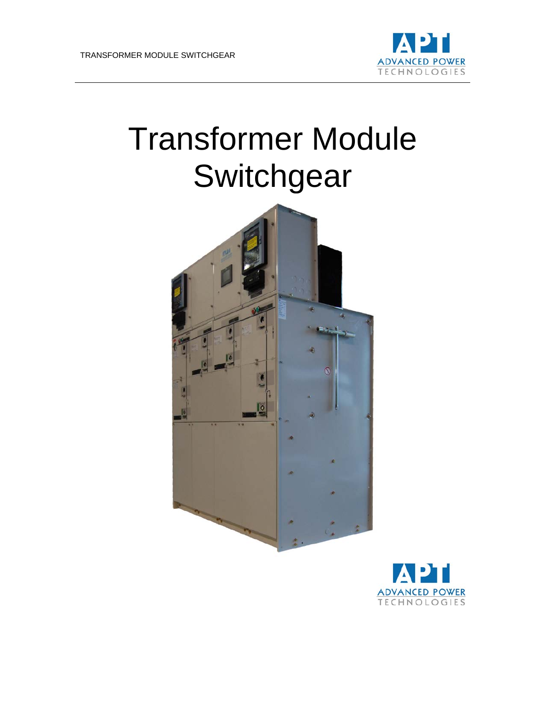

# Transformer Module **Switchgear**



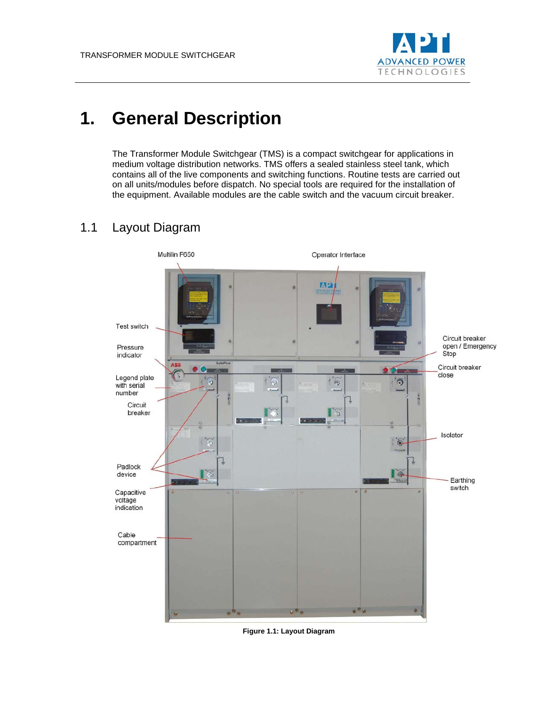

# **1. General Description**

The Transformer Module Switchgear (TMS) is a compact switchgear for applications in medium voltage distribution networks. TMS offers a sealed stainless steel tank, which contains all of the live components and switching functions. Routine tests are carried out on all units/modules before dispatch. No special tools are required for the installation of the equipment. Available modules are the cable switch and the vacuum circuit breaker.

## 1.1 Layout Diagram



**Figure 1.1: Layout Diagram**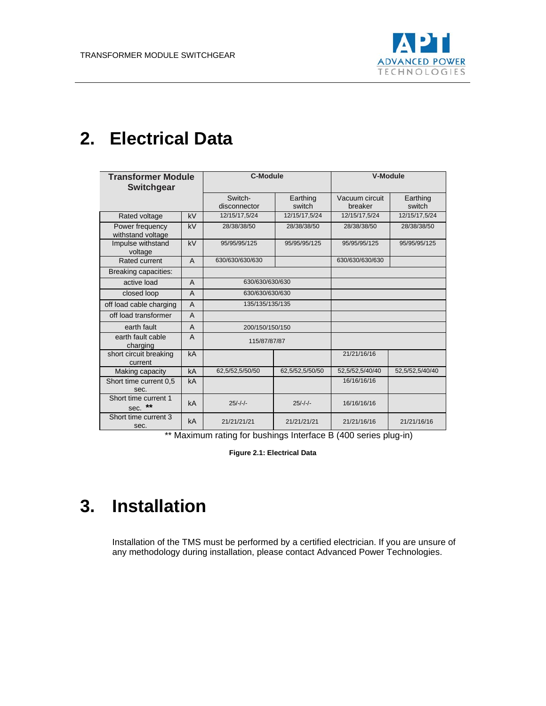

# **2. Electrical Data**

| <b>Transformer Module</b><br><b>Switchgear</b> |                | <b>C-Module</b>         |                    | <b>V-Module</b>           |                    |
|------------------------------------------------|----------------|-------------------------|--------------------|---------------------------|--------------------|
|                                                |                | Switch-<br>disconnector | Earthing<br>switch | Vacuum circuit<br>breaker | Earthing<br>switch |
| Rated voltage                                  | kV             | 12/15/17,5/24           | 12/15/17,5/24      | 12/15/17,5/24             | 12/15/17,5/24      |
| Power frequency<br>withstand voltage           | kV             | 28/38/38/50             | 28/38/38/50        | 28/38/38/50               | 28/38/38/50        |
| Impulse withstand<br>voltage                   | kV             | 95/95/95/125            | 95/95/95/125       | 95/95/95/125              | 95/95/95/125       |
| Rated current                                  | A              | 630/630/630/630         |                    | 630/630/630/630           |                    |
| Breaking capacities:                           |                |                         |                    |                           |                    |
| active load                                    | $\overline{A}$ | 630/630/630/630         |                    |                           |                    |
| closed loop                                    | $\overline{A}$ | 630/630/630/630         |                    |                           |                    |
| off load cable charging                        | $\overline{A}$ | 135/135/135/135         |                    |                           |                    |
| off load transformer                           | $\overline{A}$ |                         |                    |                           |                    |
| earth fault                                    | $\overline{A}$ | 200/150/150/150         |                    |                           |                    |
| earth fault cable<br>charging                  | $\overline{A}$ | 115/87/87/87            |                    |                           |                    |
| short circuit breaking<br>current              | kA             |                         |                    | 21/21/16/16               |                    |
| Making capacity                                | kA             | 62,5/52,5/50/50         | 62,5/52,5/50/50    | 52,5/52,5/40/40           | 52,5/52,5/40/40    |
| Short time current 0.5<br>sec.                 | kA             |                         |                    | 16/16/16/16               |                    |
| Short time current 1<br>$***$<br>sec.          | kA             | $25/-/-/-$              | $25/-/-/-$         | 16/16/16/16               |                    |
| Short time current 3<br>sec.                   | kA             | 21/21/21/21             | 21/21/21/21        | 21/21/16/16               | 21/21/16/16        |

\*\* Maximum rating for bushings Interface B (400 series plug-in)

**Figure 2.1: Electrical Data**

# **3. Installation**

Installation of the TMS must be performed by a certified electrician. If you are unsure of any methodology during installation, please contact Advanced Power Technologies.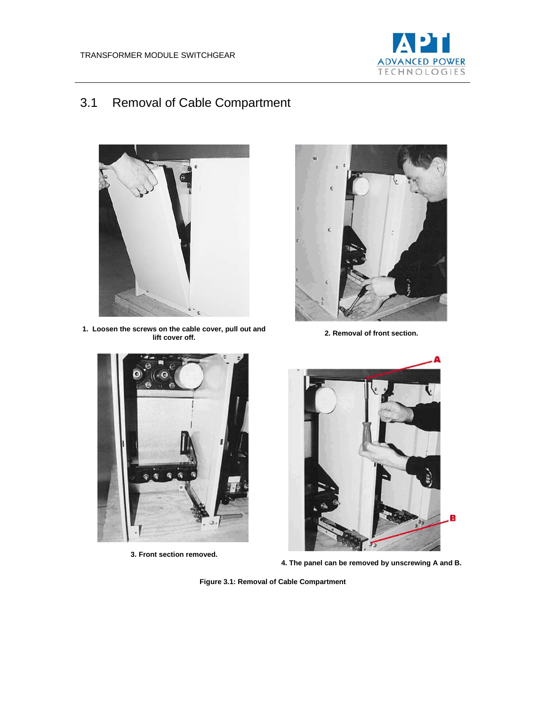

# 3.1 Removal of Cable Compartment



**1. Loosen the screws on the cable cover, pull out and** 



**2. Removal of front section.** 



**3. Front section removed.**



**4. The panel can be removed by unscrewing A and B.**

**Figure 3.1: Removal of Cable Compartment**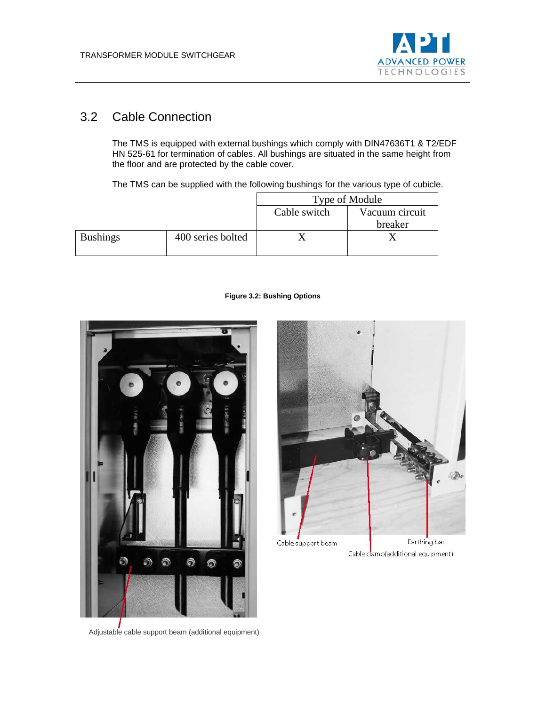

## 3.2 Cable Connection

The TMS is equipped with external bushings which comply with DIN47636T1 & T2/EDF HN 525-61 for termination of cables. All bushings are situated in the same height from the floor and are protected by the cable cover.

The TMS can be supplied with the following bushings for the various type of cubicle.

|                 |                   | Type of Module |                |  |
|-----------------|-------------------|----------------|----------------|--|
|                 |                   | Cable switch   | Vacuum circuit |  |
|                 |                   |                | breaker        |  |
| <b>Bushings</b> | 400 series bolted |                |                |  |

#### **Figure 3.2: Bushing Options**



D. Earthing bar Cable support beam

Cable damp(additional equipment).

Adjustable cable support beam (additional equipment)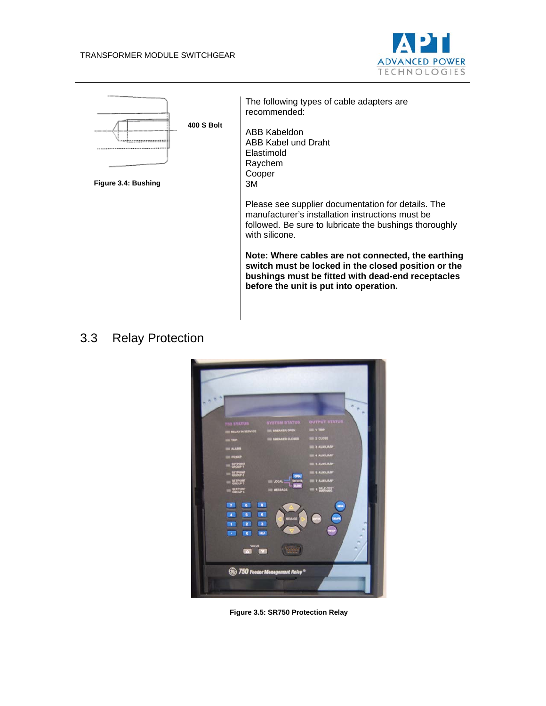



## 3.3 Relay Protection



**Figure 3.5: SR750 Protection Relay**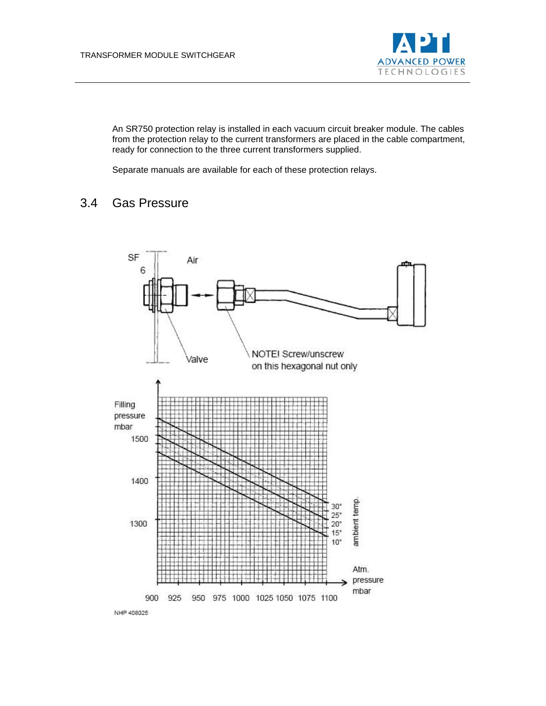

An SR750 protection relay is installed in each vacuum circuit breaker module. The cables from the protection relay to the current transformers are placed in the cable compartment, ready for connection to the three current transformers supplied.

Separate manuals are available for each of these protection relays.

### 3.4 Gas Pressure

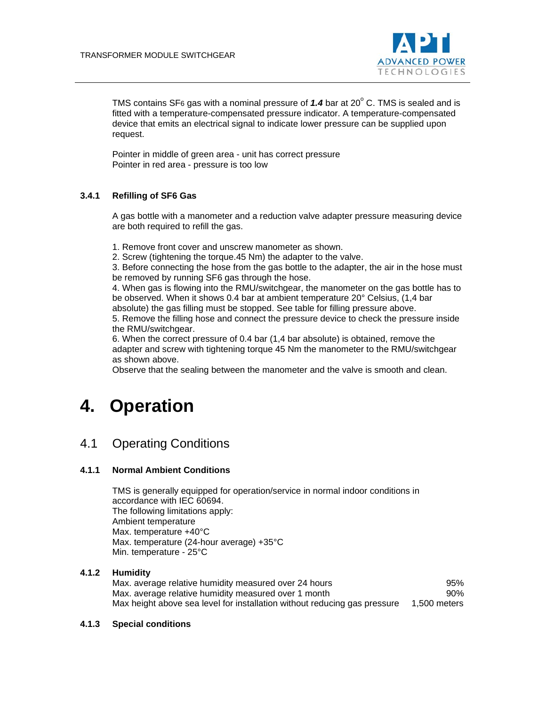

TMS contains SF6 gas with a nominal pressure of  $1.4$  bar at  $20^{\circ}$  C. TMS is sealed and is fitted with a temperature-compensated pressure indicator. A temperature-compensated device that emits an electrical signal to indicate lower pressure can be supplied upon request.

Pointer in middle of green area - unit has correct pressure Pointer in red area - pressure is too low

#### **3.4.1 Refilling of SF6 Gas**

A gas bottle with a manometer and a reduction valve adapter pressure measuring device are both required to refill the gas.

1. Remove front cover and unscrew manometer as shown.

2. Screw (tightening the torque.45 Nm) the adapter to the valve.

3. Before connecting the hose from the gas bottle to the adapter, the air in the hose must be removed by running SF6 gas through the hose.

4. When gas is flowing into the RMU/switchgear, the manometer on the gas bottle has to be observed. When it shows 0.4 bar at ambient temperature 20° Celsius, (1,4 bar

absolute) the gas filling must be stopped. See table for filling pressure above.

5. Remove the filling hose and connect the pressure device to check the pressure inside the RMU/switchgear.

6. When the correct pressure of 0.4 bar (1,4 bar absolute) is obtained, remove the adapter and screw with tightening torque 45 Nm the manometer to the RMU/switchgear as shown above.

Observe that the sealing between the manometer and the valve is smooth and clean.

# **4. Operation**

### 4.1 Operating Conditions

#### **4.1.1 Normal Ambient Conditions**

TMS is generally equipped for operation/service in normal indoor conditions in accordance with IEC 60694. The following limitations apply: Ambient temperature Max. temperature +40°C Max. temperature (24-hour average) +35°C Min. temperature - 25°C

#### **4.1.2 Humidity**

Max. average relative humidity measured over 24 hours **95%** Max. average relative humidity measured over 1 month  $90\%$ Max height above sea level for installation without reducing gas pressure 1,500 meters

#### **4.1.3 Special conditions**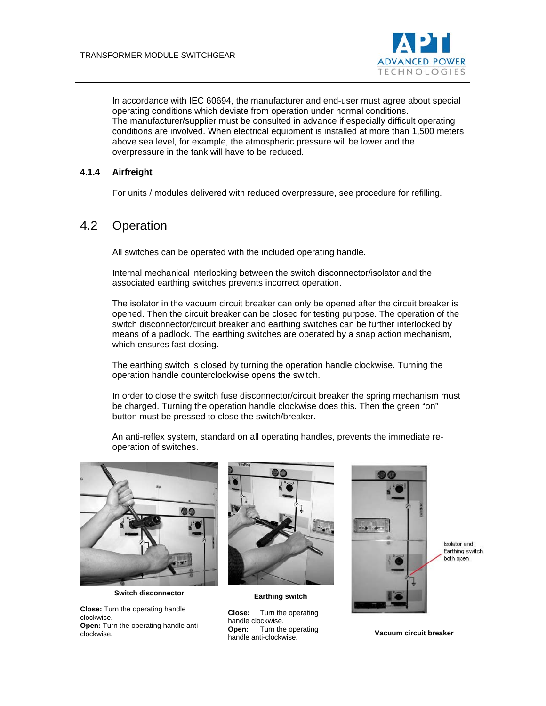

In accordance with IEC 60694, the manufacturer and end-user must agree about special operating conditions which deviate from operation under normal conditions. The manufacturer/supplier must be consulted in advance if especially difficult operating conditions are involved. When electrical equipment is installed at more than 1,500 meters above sea level, for example, the atmospheric pressure will be lower and the overpressure in the tank will have to be reduced.

#### **4.1.4 Airfreight**

For units / modules delivered with reduced overpressure, see procedure for refilling.

### 4.2 Operation

All switches can be operated with the included operating handle.

Internal mechanical interlocking between the switch disconnector/isolator and the associated earthing switches prevents incorrect operation.

The isolator in the vacuum circuit breaker can only be opened after the circuit breaker is opened. Then the circuit breaker can be closed for testing purpose. The operation of the switch disconnector/circuit breaker and earthing switches can be further interlocked by means of a padlock. The earthing switches are operated by a snap action mechanism, which ensures fast closing.

The earthing switch is closed by turning the operation handle clockwise. Turning the operation handle counterclockwise opens the switch.

In order to close the switch fuse disconnector/circuit breaker the spring mechanism must be charged. Turning the operation handle clockwise does this. Then the green "on" button must be pressed to close the switch/breaker.

An anti-reflex system, standard on all operating handles, prevents the immediate reoperation of switches.



**Switch disconnector**

**Close:** Turn the operating handle clockwise. **Open:** Turn the operating handle anticlockwise.



**Earthing switch**

**Close:** Turn the operating handle clockwise. **Open:** Turn the operating **underlight** with the operating<br>handle anti-clockwise.



Isolator and Earthing switch both open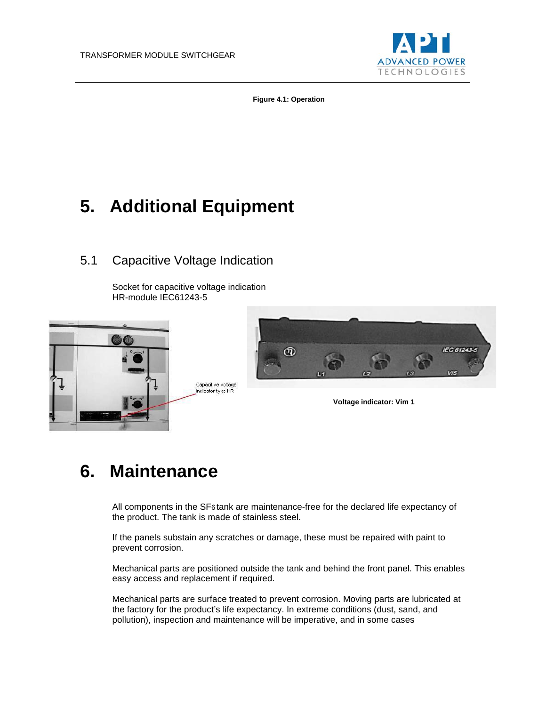

**Figure 4.1: Operation**

# **5. Additional Equipment**

### 5.1 Capacitive Voltage Indication

Socket for capacitive voltage indication HR-module IEC61243-5





**Voltage indicator: Vim 1**

# **6. Maintenance**

All components in the SF6 tank are maintenance-free for the declared life expectancy of the product. The tank is made of stainless steel.

If the panels substain any scratches or damage, these must be repaired with paint to prevent corrosion.

Mechanical parts are positioned outside the tank and behind the front panel. This enables easy access and replacement if required.

Mechanical parts are surface treated to prevent corrosion. Moving parts are lubricated at the factory for the product's life expectancy. In extreme conditions (dust, sand, and pollution), inspection and maintenance will be imperative, and in some cases